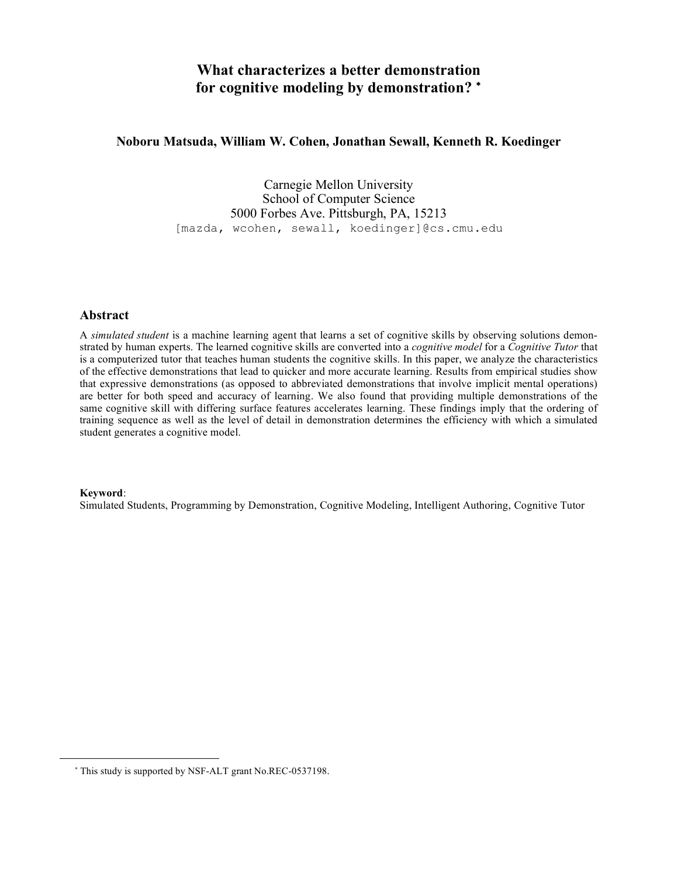# **What characterizes a better demonstration for cognitive modeling by demonstration?** <sup>∗</sup>

## **Noboru Matsuda, William W. Cohen, Jonathan Sewall, Kenneth R. Koedinger**

Carnegie Mellon University School of Computer Science 5000 Forbes Ave. Pittsburgh, PA, 15213 [mazda, wcohen, sewall, koedinger]@cs.cmu.edu

### **Abstract**

A *simulated student* is a machine learning agent that learns a set of cognitive skills by observing solutions demonstrated by human experts. The learned cognitive skills are converted into a *cognitive model* for a *Cognitive Tutor* that is a computerized tutor that teaches human students the cognitive skills. In this paper, we analyze the characteristics of the effective demonstrations that lead to quicker and more accurate learning. Results from empirical studies show that expressive demonstrations (as opposed to abbreviated demonstrations that involve implicit mental operations) are better for both speed and accuracy of learning. We also found that providing multiple demonstrations of the same cognitive skill with differing surface features accelerates learning. These findings imply that the ordering of training sequence as well as the level of detail in demonstration determines the efficiency with which a simulated student generates a cognitive model.

#### **Keyword**:

 $\overline{a}$ 

Simulated Students, Programming by Demonstration, Cognitive Modeling, Intelligent Authoring, Cognitive Tutor

<sup>∗</sup> This study is supported by NSF-ALT grant No.REC-0537198.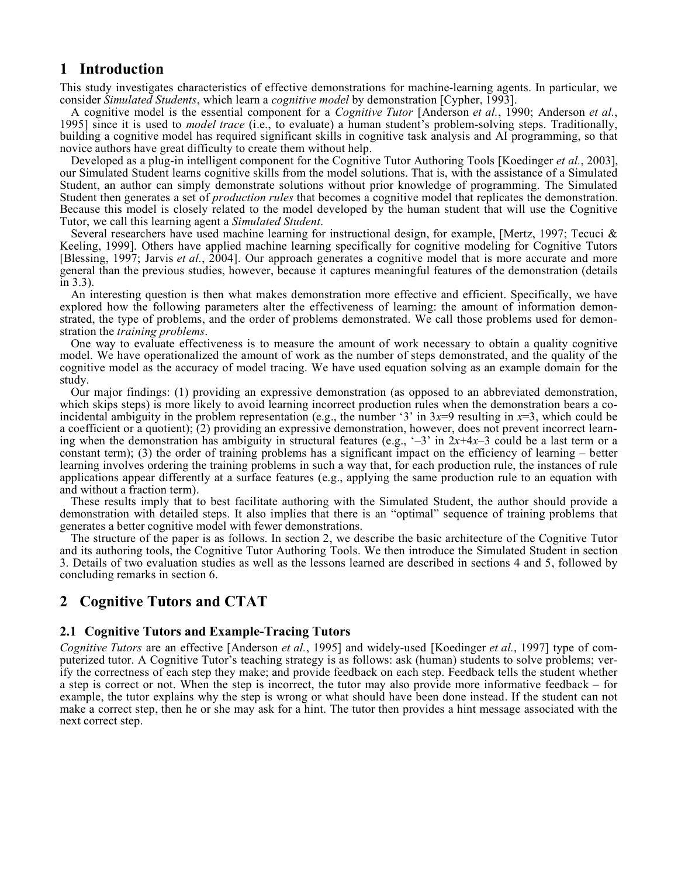# **1 Introduction**

This study investigates characteristics of effective demonstrations for machine-learning agents. In particular, we consider *Simulated Students*, which learn a *cognitive model* by demonstration [Cypher, 1993].

A cognitive model is the essential component for a Cognitive Tutor [Anderson et al., 1990; Anderson et al., 1995] since it is used to *model trace* (i.e., to evaluate) a human student's problem-solving steps. Traditionally, building a cognitive model has required significant skills in cognitive task analysis and AI programming, so that novice authors have great difficulty to create them without help.

Developed as a plug-in intelligent component for the Cognitive Tutor Authoring Tools [Koedinger *et al.*, 2003], our Simulated Student learns cognitive skills from the model solutions. That is, with the assistance of a Simulated Student, an author can simply demonstrate solutions without prior knowledge of programming. The Simulated Student then generates a set of *production rules* that becomes a cognitive model that replicates the demonstration. Because this model is closely related to the model developed by the human student that will use the Cognitive Tutor, we call this learning agent a *Simulated Student*.

Several researchers have used machine learning for instructional design, for example, [Mertz, 1997; Tecuci & Keeling, 1999]. Others have applied machine learning specifically for cognitive modeling for Cognitive Tutors [Blessing, 1997; Jarvis *et al.*, 2004]. Our approach generates a cognitive model that is more accurate and more general than the previous studies, however, because it captures meaningful features of the demonstration (details in 3.3).

An interesting question is then what makes demonstration more effective and efficient. Specifically, we have explored how the following parameters alter the effectiveness of learning: the amount of information demonstrated, the type of problems, and the order of problems demonstrated. We call those problems used for demon- stration the *training problems*.

One way to evaluate effectiveness is to measure the amount of work necessary to obtain a quality cognitive model. We have operationalized the amount of work as the number of steps demonstrated, and the quality of the cognitive model as the accuracy of model tracing. We have used equation solving as an example domain for the study.<br>Our major findings: (1) providing an expressive demonstration (as opposed to an abbreviated demonstration,

which skips steps) is more likely to avoid learning incorrect production rules when the demonstration bears a coincidental ambiguity in the problem representation (e.g., the number '3' in  $3x=9$  resulting in  $x=3$ , which could be a coefficient or a quotient); (2) providing an expressive demonstration, however, does not prevent incorrect learning when the demonstration has ambiguity in structural features (e.g.,  $\div 3'$  in  $2x+4x-3$  could be a last term or a constant term); (3) the order of training problems has a significant impact on the efficiency of learning – better learning involves ordering the training problems in such a way that, for each production rule, the instances of rule applications appear differently at a surface features (e.g., applying the same production rule to an equation with and without a fraction term).

These results imply that to best facilitate authoring with the Simulated Student, the author should provide a demonstration with detailed steps. It also implies that there is an "optimal" sequence of training problems that generates a better cognitive model with fewer demonstrations.

The structure of the paper is as follows. In section 2, we describe the basic architecture of the Cognitive Tutor and its authoring tools, the Cognitive Tutor Authoring Tools. We then introduce the Simulated Student in section 3. Details of two evaluation studies as well as the lessons learned are described in sections 4 and 5, followed by concluding remarks in section 6.

# **2 Cognitive Tutors and CTAT**

## **2.1 Cognitive Tutors and Example-Tracing Tutors**

*Cognitive Tutors* are an effective [Anderson *et al.*, 1995] and widely-used [Koedinger *et al.*, 1997] type of computerized tutor. A Cognitive Tutor's teaching strategy is as follows: ask (human) students to solve problems; verify the correctness of each step they make; and provide feedback on each step. Feedback tells the student whether a step is correct or not. When the step is incorrect, the tutor may also provide more informative feedback – for example, the tutor explains why the step is wrong or what should have been done instead. If the student can not make a correct step, then he or she may ask for a hint. The tutor then provides a hint message associated with the next correct step.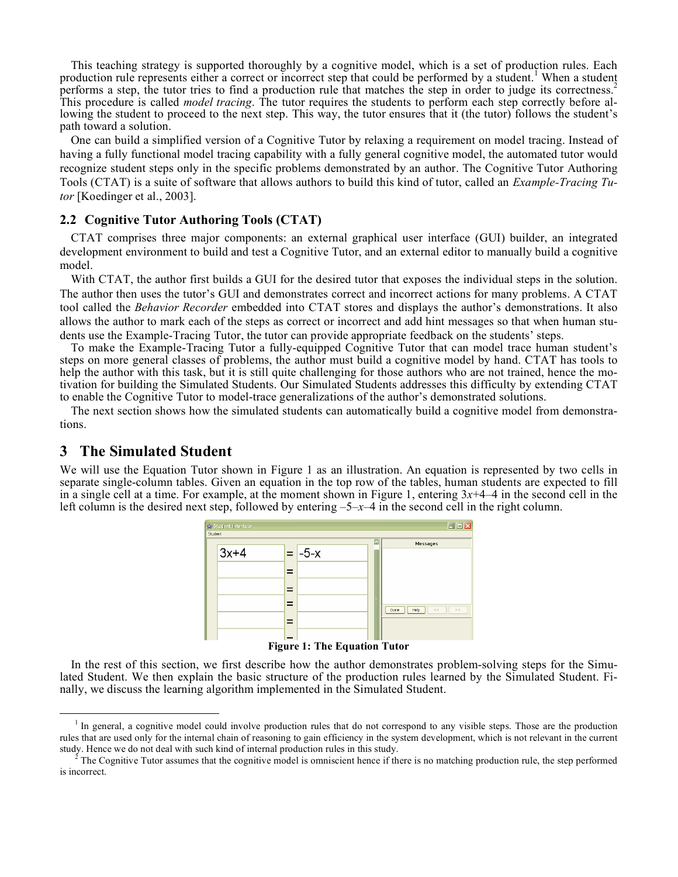This teaching strategy is supported thoroughly by a cognitive model, which is a set of production rules. Each production rule represents either a correct or incorrect step that could be performed by a student.<sup>1</sup> When a student performs a step, the tutor tries to find a production rule that matches the step in order to judge its correctness.<sup>2</sup> This procedure is called *model tracing*. The tutor requires the students to perform each step correctly before allowing the student to proceed to the next step. This way, the tutor ensures that it (the tutor) follows the path toward a solution.

One can build a simplified version of a Cognitive Tutor by relaxing a requirement on model tracing. Instead of having a fully functional model tracing capability with a fully general cognitive model, the automated tutor would recognize student steps only in the specific problems demonstrated by an author. The Cognitive Tutor Authoring Tools (CTAT) is a suite of software that allows authors to build this kind of tutor, called an *Example-Tracing Tutor* [Koedinger et al., 2003].

### **2.2 Cognitive Tutor Authoring Tools (CTAT)**

CTAT comprises three major components: an external graphical user interface (GUI) builder, an integrated development environment to build and test a Cognitive Tutor, and an external editor to manually build a cognitive model.

With CTAT, the author first builds a GUI for the desired tutor that exposes the individual steps in the solution. The author then uses the tutor's GUI and demonstrates correct and incorrect actions for many problems. A CTAT tool called the *Behavior Recorder* embedded into CTAT stores and displays the author's demonstrations. It also allows the author to mark each of the steps as correct or incorrect and add hint messages so that when human students use the Example-Tracing Tutor, the tutor can provide appropriate feedback on the students' steps.

To make the Example-Tracing Tutor a fully-equipped Cognitive Tutor that can model trace human student's steps on more general classes of problems, the author must build a cognitive model by hand. CTAT has tools to help the author with this task, but it is still quite challenging for those authors who are not trained, hence the motivation for building the Simulated Students. Our Simulated Students addresses this difficulty by extending CTAT to enable the Cognitive Tutor to model-trace generalizations of the author's demonstrated solutions.

The next section shows how the simulated students can automatically build a cognitive model from demonstrations.

# **3 The Simulated Student**

We will use the Equation Tutor shown in Figure 1 as an illustration. An equation is represented by two cells in separate single-column tables. Given an equation in the top row of the tables, human students are expected to fill in a single cell at a time. For example, at the moment shown in Figure 1, entering 3*x*+4–4 in the second cell in the left column is the desired next step, followed by entering –5–*x*–4 in the second cell in the right column.



**Figure 1: The Equation Tutor**

In the rest of this section, we first describe how the author demonstrates problem-solving steps for the Simulated Student. We then explain the basic structure of the production rules learned by the Simulated Student. Finally, we discuss the learning algorithm implemented in the Simulated Student.

<sup>&</sup>lt;sup>1</sup> In general, a cognitive model could involve production rules that do not correspond to any visible steps. Those are the production rules that are used only for the internal chain of reasoning to gain efficiency in the system development, which is not relevant in the current study. Hence we do not deal with such kind of internal production rules in thi

The Cognitive Tutor assumes that the cognitive model is omniscient hence if there is no matching production rule, the step performed is incorrect.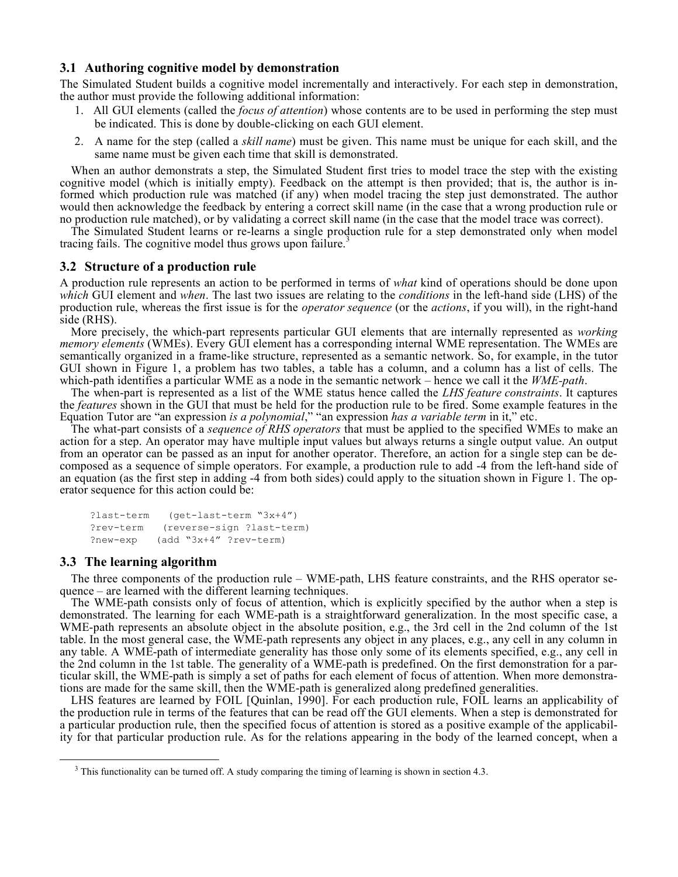## **3.1 Authoring cognitive model by demonstration**

The Simulated Student builds a cognitive model incrementally and interactively. For each step in demonstration, the author must provide the following additional information:

- 1. All GUI elements (called the *focus of attention*) whose contents are to be used in performing the step must be indicated. This is done by double-clicking on each GUI element.
- 2. A name for the step (called a *skill name*) must be given. This name must be unique for each skill, and the same name must be given each time that skill is demonstrated.

When an author demonstrats a step, the Simulated Student first tries to model trace the step with the existing cognitive model (which is initially empty). Feedback on the attempt is then provided; that is, the author is informed which production rule was matched (if any) when model tracing the step just demonstrated. The author would then acknowledge the feedback by entering a correct skill name (in the case that a wrong production rule or no production rule matched), or by validating a correct skill name (in the case that the model trace was correct).

The Simulated Student learns or re-learns a single production rule for a step demonstrated only when model tracing fails. The cognitive model thus grows upon failure.<sup>3</sup>

### **3.2 Structure of a production rule**

A production rule represents an action to be performed in terms of *what* kind of operations should be done upon *which* GUI element and *when*. The last two issues are relating to the *conditions* in the left-hand side (LHS) of the production rule, whereas the first issue is for the *operator sequence* (or the *actions*, if you will), in the right-hand side (RHS).

More precisely, the which-part represents particular GUI elements that are internally represented as *working memory elements* (WMEs). Every GUI element has a corresponding internal WME representation. The WMEs are semantically organized in a frame-like structure, represented as a semantic network. So, for example, in the tutor GUI shown in Figure 1, a problem has two tables, a table has a column, and a column has a list of cells. The which-path identifies a particular WME as a node in the semantic network – hence we call it the *WME-path*.

The when-part is represented as a list of the WME status hence called the *LHS feature constraints*. It captures the *features* shown in the GUI that must be held for the production rule to be fired. Some example features in the Equation Tutor are "an expression *is a polynomial*," "an expression *has a variable term* in it," etc.

The what-part consists of a *sequence of RHS operators* that must be applied to the specified WMEs to make an action for a step. An operator may have multiple input values but always returns a single output value. An output from an operator can be passed as an input for another operator. Therefore, an action for a single step can be decomposed as a sequence of simple operators. For example, a production rule to add -4 from the left-hand side of an equation (as the first step in adding -4 from both sides) could apply to the situation shown in Figure 1. The operator sequence for this action could be:

```
?last-term  (get-last-term "3x+4")
?rev-term  (reverse-sign ?last-term)
?new-exp  (add "3x+4" ?rev-term)
```
#### **3.3 The learning algorithm**

The three components of the production rule – WME-path, LHS feature constraints, and the RHS operator sequence – are learned with the different learning techniques.

The WME-path consists only of focus of attention, which is explicitly specified by the author when a step is demonstrated. The learning for each WME-path is a straightforward generalization. In the most specific case, a WME-path represents an absolute object in the absolute position, e.g., the 3rd cell in the 2nd column of the 1st table. In the most general case, the WME-path represents any object in any places, e.g., any cell in any column in any table. A WME-path of intermediate generality has those only some of its elements specified, e.g., any cell in the 2nd column in the 1st table. The generality of a WME-path is predefined. On the first demonstration for a particular skill, the WME-path is simply a set of paths for each element of focus of attention. When more demonstrations are made for the same skill, then the WME-path is generalized along predefined generalities.

LHS features are learned by FOIL [Quinlan, 1990]. For each production rule, FOIL learns an applicability of the production rule in terms of the features that can be read off the GUI elements. When a step is demonstrated for a particular production rule, then the specified focus of attention is stored as a positive example of the applicability for that particular production rule. As for the relations appearing in the body of the learned concept, when a

<sup>&</sup>lt;sup>3</sup> This functionality can be turned off. A study comparing the timing of learning is shown in section 4.3.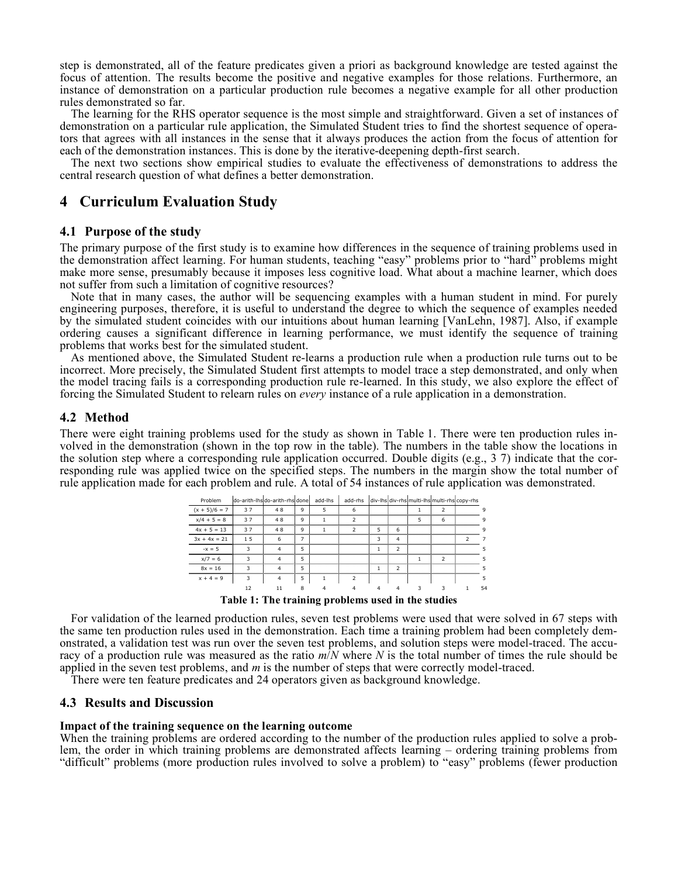step is demonstrated, all of the feature predicates given a priori as background knowledge are tested against the focus of attention. The results become the positive and negative examples for those relations. Furthermore, an instance of demonstration on a particular production rule becomes a negative example for all other production rules demonstrated so far.

The learning for the RHS operator sequence is the most simple and straightforward. Given a set of instances of demonstration on a particular rule application, the Simulated Student tries to find the shortest sequence of operators that agrees with all instances in the sense that it always produces the action from the focus of attention for each of the demonstration instances. This is done by the iterative-deepening depth-first search.

The next two sections show empirical studies to evaluate the effectiveness of demonstrations to address the central research question of what defines a better demonstration.

# **4 Curriculum Evaluation Study**

#### **4.1 Purpose of the study**

The primary purpose of the first study is to examine how differences in the sequence of training problems used in the demonstration affect learning. For human students, teaching "easy" problems prior to "hard" problems might make more sense, presumably because it imposes less cognitive load. What about a machine learner, which does not suffer from such a limitation of cognitive resources?

Note that in many cases, the author will be sequencing examples with a human student in mind. For purely engineering purposes, therefore, it is useful to understand the degree to which the sequence of examples needed by the simulated student coincides with our intuitions about human learning [VanLehn, 1987]. Also, if example ordering causes a significant difference in learning performance, we must identify the sequence of training problems that works best for the simulated student.

As mentioned above, the Simulated Student re-learns a production rule when a production rule turns out to be incorrect. More precisely, the Simulated Student first attempts to model trace a step demonstrated, and only when the model tracing fails is a corresponding production rule re-learned. In this study, we also explore the effect of forcing the Simulated Student to relearn rules on *every* instance of a rule application in a demonstration.

## **4.2 Method**

There were eight training problems used for the study as shown in Table 1. There were ten production rules involved in the demonstration (shown in the top row in the table). The numbers in the table show the locations in the solution step where a corresponding rule application occurred. Double digits (e.g., 3 7) indicate that the corresponding rule was applied twice on the specified steps. The numbers in the margin show the total number of rule application made for each problem and rule. A total of 54 instances of rule application was demonstrated.



**Table 1: The training problems used in the studies**

For validation of the learned production rules, seven test problems were used that were solved in 67 steps with the same ten production rules used in the demonstration. Each time a training problem had been completely demonstrated, a validation test was run over the seven test problems, and solution steps were model-traced. The accuracy of a production rule was measured as the ratio  $m/N$  where N is the total number of times the rule shoul applied in the seven test problems, and *m* is the number of steps that were correctly model-traced.

There were ten feature predicates and 24 operators given as background knowledge.

## **4.3 Results and Discussion**

#### **Impact of the training sequence on the learning outcome**

When the training problems are ordered according to the number of the production rules applied to solve a problem, the order in which training problems are demonstrated affects learning – ordering training problems from "difficult" problems (more production rules involved to solve a problem) to "easy" problems (fewer production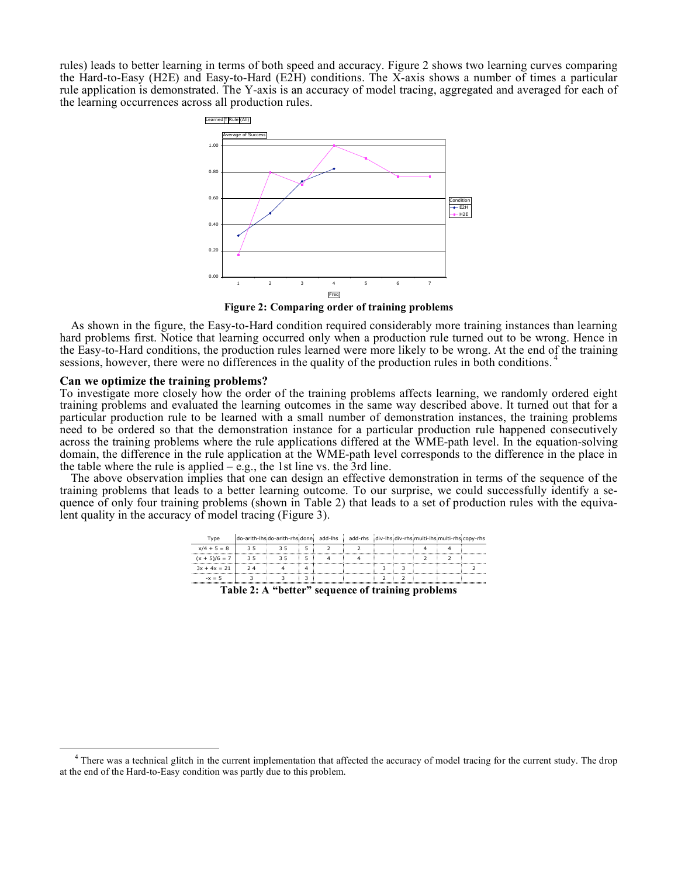rules) leads to better learning in terms of both speed and accuracy. Figure 2 shows two learning curves comparing the Hard-to-Easy (H2E) and Easy-to-Hard (E2H) conditions. The X-axis shows a number of times a particular rule application is demonstrated. The Y-axis is an accuracy of model tracing, aggregated and averaged for each of the learning occurrences across all production rules.



**Figure 2: Comparing order of training problems**

As shown in the figure, the Easy-to-Hard condition required considerably more training instances than learning hard problems first. Notice that learning occurred only when a production rule turned out to be wrong. Hence in the Easy-to-Hard conditions, the production rules learned were more likely to be wrong. At the end of the training sessions, however, there were no differences in the quality of the production rules in both conditions. 4

#### **Can we optimize the training problems?**

To investigate more closely how the order of the training problems affects learning, we randomly ordered eight training problems and evaluated the learning outcomes in the same way described above. It turned out that for a particular production rule to be learned with a small number of demonstration instances, the training problems need to be ordered so that the demonstration instance for a particular production rule happened consecutively across the training problems where the rule applications differed at the WME-path level. In the equation-solving domain, the difference in the rule application at the WME-path level corresponds to the difference in the place in the table where the rule is applied  $-e.g.,$  the 1st line vs. the 3rd line.

The above observation implies that one can design an effective demonstration in terms of the sequence of the training problems that leads to a better learning outcome. To our surprise, we could successfully identify a sequence of only four training problems (shown in Table 2) that leads to a set of production rules with the equivalent quality in the accuracy of model tracing (Figure 3).

| Type                                                                |  | do-arith-lhs do-arith-rhs done add-lhs |  |  | add-rhs div-lhs div-rhs multi-lhs multi-rhs copy-rhs |  |  |  |  |
|---------------------------------------------------------------------|--|----------------------------------------|--|--|------------------------------------------------------|--|--|--|--|
| $x/4 + 5 = 8$                                                       |  |                                        |  |  |                                                      |  |  |  |  |
| $(x + 5)/6 = 7$                                                     |  |                                        |  |  |                                                      |  |  |  |  |
| $3x + 4x = 21$                                                      |  |                                        |  |  |                                                      |  |  |  |  |
|                                                                     |  |                                        |  |  |                                                      |  |  |  |  |
| Talila Պ. A. 66 օգնացության պատմությունների համար համար համար համար |  |                                        |  |  |                                                      |  |  |  |  |

**Table 2: A "better" sequence of training problems**

 $4$  There was a technical glitch in the current implementation that affected the accuracy of model tracing for the current study. The drop at the end of the Hard-to-Easy condition was partly due to this problem.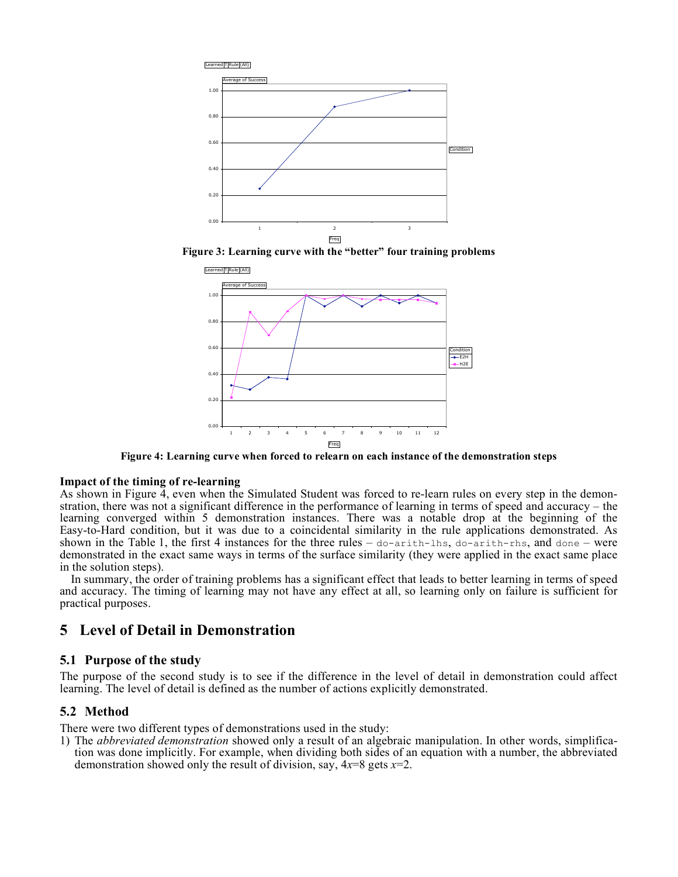





**Figure 4: Learning curve when forced to relearn on each instance of the demonstration steps**

#### **Impact of the timing of re-learning**

As shown in Figure 4, even when the Simulated Student was forced to re-learn rules on every step in the demonstration, there was not a significant difference in the performance of learning in terms of speed and accuracy – the learning converged within 5 demonstration instances. There was a notable drop at the beginning of the Easy-to-Hard condition, but it was due to a coincidental similarity in the rule applications demonstrated. As shown in the Table 1, the first 4 instances for the three rules  $-\omega$ -arith-lhs,  $\omega$ -arith-rhs, and  $\omega$ ne – were demonstrated in the exact same ways in terms of the surface similarity (they were applied in the exact same place in the solution steps).

In summary, the order of training problems has a significant effect that leads to better learning in terms of speed and accuracy. The timing of learning may not have any effect at all, so learning only on failure is sufficient for practical purposes.

# **5 Level of Detail in Demonstration**

#### **5.1 Purpose of the study**

The purpose of the second study is to see if the difference in the level of detail in demonstration could affect learning. The level of detail is defined as the number of actions explicitly demonstrated.

## **5.2 Method**

There were two different types of demonstrations used in the study:

1) The *abbreviated demonstration* showed only a result of an algebraic manipulation. In other words, simplification was done implicitly. For example, when dividing both sides of an equation with a number, the abbreviated demonstration showed only the result of division, say, 4*x*=8 gets *x*=2.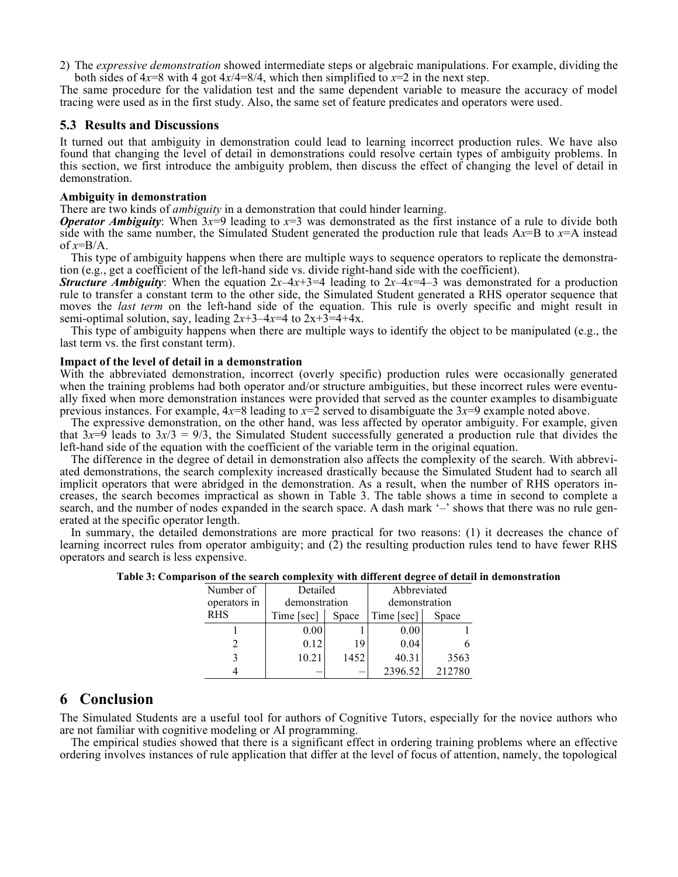2) The *expressive demonstration* showed intermediate steps or algebraic manipulations. For example, dividing the both sides of  $4x=8$  with 4 got  $4x/4=8/4$ , which then simplified to  $x=2$  in the next step.

The same procedure for the validation test and the same dependent variable to measure the accuracy of model tracing were used as in the first study. Also, the same set of feature predicates and operators were used.

#### **5.3 Results and Discussions**

It turned out that ambiguity in demonstration could lead to learning incorrect production rules. We have also found that changing the level of detail in demonstrations could resolve certain types of ambiguity problems. In this section, we first introduce the ambiguity problem, then discuss the effect of changing the level of detail in demonstration.

#### **Ambiguity in demonstration**

There are two kinds of *ambiguity* in a demonstration that could hinder learning.

*Operator Ambiguity*: When  $3x=9$  leading to  $x=3$  was demonstrated as the first instance of a rule to divide both side with the same number, the Simulated Student generated the production rule that leads A*x*=B to *x*=A instead of  $x=BA/A$ .

This type of ambiguity happens when there are multiple ways to sequence operators to replicate the demonstration (e.g., get a coefficient of the left-hand side vs. divide right-hand side with the coefficient).

*Structure Ambiguity*: When the equation  $2x-4x+3=4$  leading to  $2x-4x=4-3$  was demonstrated for a production rule to transfer a constant term to the other side, the Simulated Student generated a RHS operator sequence that moves the *last term* on the left-hand side of the equation. This rule is overly specific and might result in semi-optimal solution, say, leading  $2x+3-4x=4$  to  $2x+3=4+4x$ .

This type of ambiguity happens when there are multiple ways to identify the object to be manipulated (e.g., the last term vs. the first constant term).

#### **Impact of the level of detail in a demonstration**

With the abbreviated demonstration, incorrect (overly specific) production rules were occasionally generated when the training problems had both operator and/or structure ambiguities, but these incorrect rules were eventually fixed when more demonstration instances were provided that served as the counter examples to disambiguate previous instances. For example, 4*x*=8 leading to *x*=2 served to disambiguate the 3*x*=9 example noted above.

The expressive demonstration, on the other hand, was less affected by operator ambiguity. For example, given that  $3x=9$  leads to  $3x/3 = 9/3$ , the Simulated Student successfully generated a production rule that divides the left-hand side of the equation with the coefficient of the variable term in the original equation. The difference in the degree of detail in demonstration also affects the complexity of the search. With abbrevi-

ated demonstrations, the search complexity increased drastically because the Simulated Student had to search all implicit operators that were abridged in the demonstration. As a result, when the number of RHS operators increases, the search becomes impractical as shown in Table 3. The table shows a time in second to complete a search, and the number of nodes expanded in the search space. A dash mark '–' shows that there was no rule generated at the specific operator length. In summary, the detailed demonstrations are more practical for two reasons: (1) it decreases the chance of

learning incorrect rules from operator ambiguity; and (2) the resulting production rules tend to have fewer RHS operators and search is less expensive.

| Number of    | Detailed      |       | Abbreviated<br>demonstration |        |  |  |  |  |  |  |  |
|--------------|---------------|-------|------------------------------|--------|--|--|--|--|--|--|--|
| operators in | demonstration |       |                              |        |  |  |  |  |  |  |  |
| <b>RHS</b>   | Time [sec]    | Space | Time [sec]                   | Space  |  |  |  |  |  |  |  |
|              | 0.00          |       | 0.00                         |        |  |  |  |  |  |  |  |
|              | 0.12          | 19    | 0.04                         |        |  |  |  |  |  |  |  |
|              | 10.21         | 1452  | 40.31                        | 3563   |  |  |  |  |  |  |  |
|              |               |       | 2396.52                      | 212780 |  |  |  |  |  |  |  |

**Table 3: Comparison of the search complexity with different degree of detail in demonstration**

# **6 Conclusion**

The Simulated Students are a useful tool for authors of Cognitive Tutors, especially for the novice authors who are not familiar with cognitive modeling or AI programming.

The empirical studies showed that there is a significant effect in ordering training problems where an effective ordering involves instances of rule application that differ at the level of focus of attention, namely, the topological